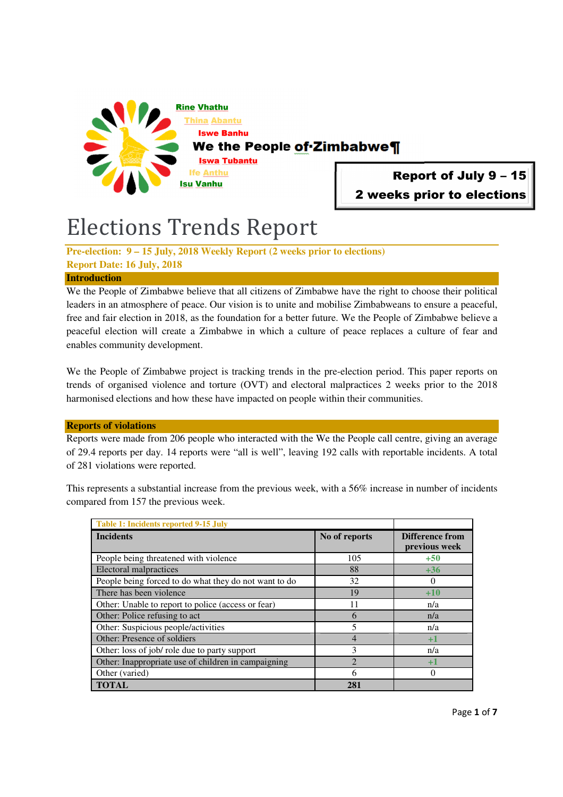

# Report of July 9 – 15 2 weeks prior to elections

# Elections Trends Report

**Pre-election: 9 – 15 July, 2018 Weekly Report (2 weeks prior to elections) Report Date: 16 July, 2018** 

## **Introduction**

We the People of Zimbabwe believe that all citizens of Zimbabwe have the right to choose their political leaders in an atmosphere of peace. Our vision is to unite and mobilise Zimbabweans to ensure a peaceful, free and fair election in 2018, as the foundation for a better future. We the People of Zimbabwe believe a peaceful election will create a Zimbabwe in which a culture of peace replaces a culture of fear and enables community development.

We the People of Zimbabwe project is tracking trends in the pre-election period. This paper reports on trends of organised violence and torture (OVT) and electoral malpractices 2 weeks prior to the 2018 harmonised elections and how these have impacted on people within their communities.

### **Reports of violations**

Reports were made from 206 people who interacted with the We the People call centre, giving an average of 29.4 reports per day. 14 reports were "all is well", leaving 192 calls with reportable incidents. A total of 281 violations were reported.

This represents a substantial increase from the previous week, with a 56% increase in number of incidents compared from 157 the previous week.

| Table 1: Incidents reported 9-15 July                 |                             |                                  |
|-------------------------------------------------------|-----------------------------|----------------------------------|
| <b>Incidents</b>                                      | No of reports               | Difference from<br>previous week |
| People being threatened with violence                 | 105                         | $+50$                            |
| <b>Electoral malpractices</b>                         | 88                          | $+36$                            |
| People being forced to do what they do not want to do | 32                          |                                  |
| There has been violence                               | 19                          | $+10$                            |
| Other: Unable to report to police (access or fear)    | 11                          | n/a                              |
| Other: Police refusing to act                         | 6                           | n/a                              |
| Other: Suspicious people/activities                   | 5                           | n/a                              |
| Other: Presence of soldiers                           | $\overline{4}$              | $+1$                             |
| Other: loss of job/ role due to party support         | 3                           | n/a                              |
| Other: Inappropriate use of children in campaigning   | $\mathcal{D}_{\mathcal{A}}$ | $+1$                             |
| Other (varied)                                        | 6                           | 0                                |
| <b>TOTAL</b>                                          | 281                         |                                  |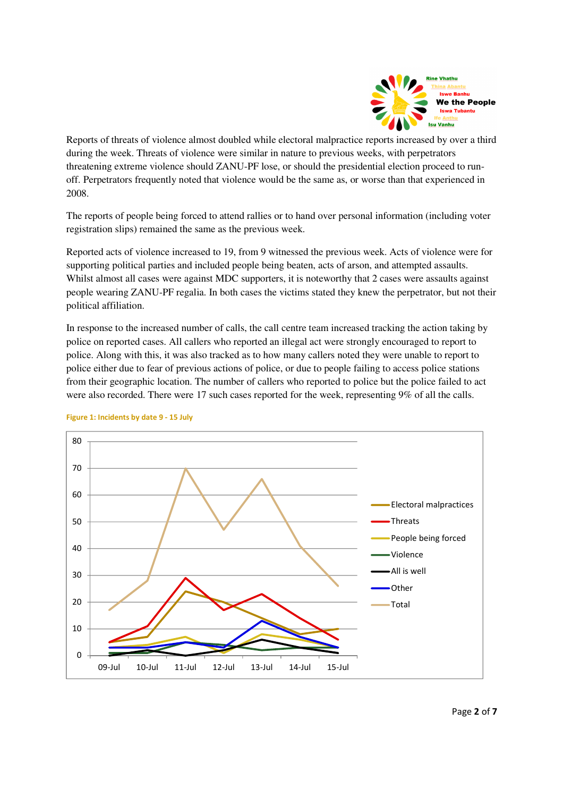

Reports of threats of violence almost doubled while electoral malpractice reports increased by over a third during the week. Threats of violence were similar in nature to previous weeks, with perpetrators threatening extreme violence should ZANU-PF lose, or should the presidential election proceed to runoff. Perpetrators frequently noted that violence would be the same as, or worse than that experienced in 2008.

The reports of people being forced to attend rallies or to hand over personal information (including voter registration slips) remained the same as the previous week.

Reported acts of violence increased to 19, from 9 witnessed the previous week. Acts of violence were for supporting political parties and included people being beaten, acts of arson, and attempted assaults. Whilst almost all cases were against MDC supporters, it is noteworthy that 2 cases were assaults against people wearing ZANU-PF regalia. In both cases the victims stated they knew the perpetrator, but not their political affiliation.

In response to the increased number of calls, the call centre team increased tracking the action taking by police on reported cases. All callers who reported an illegal act were strongly encouraged to report to police. Along with this, it was also tracked as to how many callers noted they were unable to report to police either due to fear of previous actions of police, or due to people failing to access police stations from their geographic location. The number of callers who reported to police but the police failed to act were also recorded. There were 17 such cases reported for the week, representing 9% of all the calls.



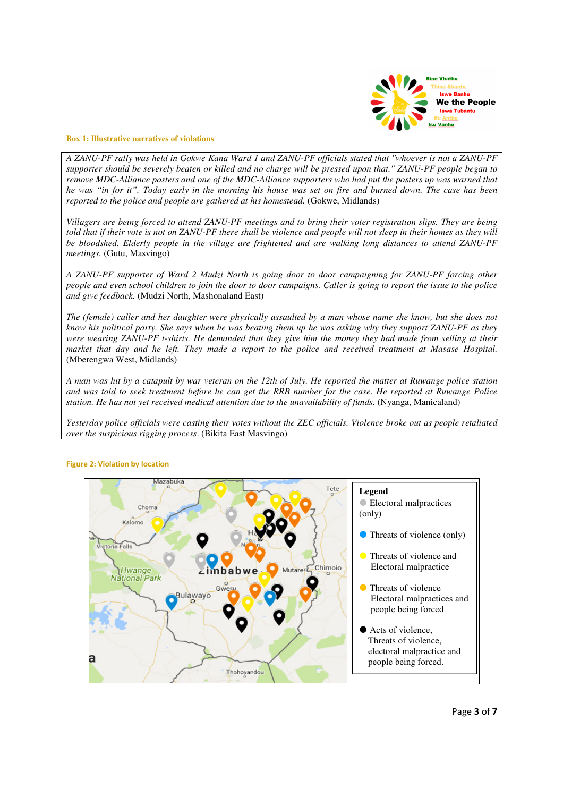

#### **Box 1: Illustrative narratives of violations**

*A ZANU-PF rally was held in Gokwe Kana Ward 1 and ZANU-PF officials stated that ''whoever is not a ZANU-PF supporter should be severely beaten or killed and no charge will be pressed upon that.'' ZANU-PF people began to remove MDC-Alliance posters and one of the MDC-Alliance supporters who had put the posters up was warned that he was "in for it". Today early in the morning his house was set on fire and burned down. The case has been reported to the police and people are gathered at his homestead.* (Gokwe, Midlands)

*Villagers are being forced to attend ZANU-PF meetings and to bring their voter registration slips. They are being told that if their vote is not on ZANU-PF there shall be violence and people will not sleep in their homes as they will be bloodshed. Elderly people in the village are frightened and are walking long distances to attend ZANU-PF meetings.* (Gutu, Masvingo)

*A ZANU-PF supporter of Ward 2 Mudzi North is going door to door campaigning for ZANU-PF forcing other people and even school children to join the door to door campaigns. Caller is going to report the issue to the police and give feedback.* (Mudzi North, Mashonaland East)

*The (female) caller and her daughter were physically assaulted by a man whose name she know, but she does not know his political party. She says when he was beating them up he was asking why they support ZANU-PF as they were wearing ZANU-PF t-shirts. He demanded that they give him the money they had made from selling at their market that day and he left. They made a report to the police and received treatment at Masase Hospital.*  (Mberengwa West, Midlands)

*A man was hit by a catapult by war veteran on the 12th of July. He reported the matter at Ruwange police station and was told to seek treatment before he can get the RRB number for the case. He reported at Ruwange Police station. He has not yet received medical attention due to the unavailability of funds.* (Nyanga, Manicaland)

*Yesterday police officials were casting their votes without the ZEC officials. Violence broke out as people retaliated over the suspicious rigging process*. (Bikita East Masvingo)



#### **Figure 2: Violation by location**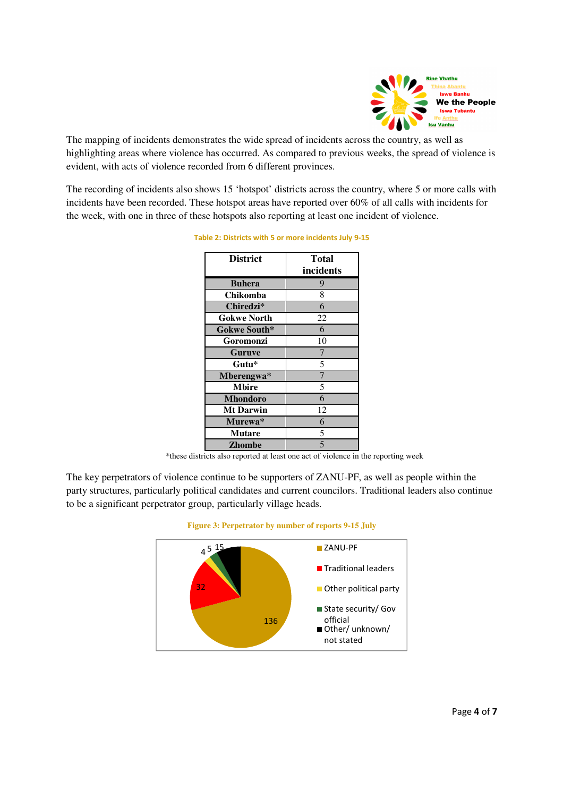

The mapping of incidents demonstrates the wide spread of incidents across the country, as well as highlighting areas where violence has occurred. As compared to previous weeks, the spread of violence is evident, with acts of violence recorded from 6 different provinces.

The recording of incidents also shows 15 'hotspot' districts across the country, where 5 or more calls with incidents have been recorded. These hotspot areas have reported over 60% of all calls with incidents for the week, with one in three of these hotspots also reporting at least one incident of violence.

| <b>District</b>    | <b>Total</b><br>incidents |
|--------------------|---------------------------|
| <b>Buhera</b>      | 9                         |
| Chikomba           | 8                         |
| Chiredzi*          | 6                         |
| <b>Gokwe North</b> | 22                        |
| Gokwe South*       | 6                         |
| Goromonzi          | 10                        |
| <b>Guruve</b>      | 7                         |
| Gutu*              | 5                         |
| Mberengwa*         | $\overline{7}$            |
| <b>Mbire</b>       | 5                         |
| <b>Mhondoro</b>    | 6                         |
| <b>Mt Darwin</b>   | 12                        |
| Murewa*            | 6                         |
| <b>Mutare</b>      | 5                         |
| <b>Zhombe</b>      | 5                         |

**Table 2: Districts with 5 or more incidents July 9-15** 

\*these districts also reported at least one act of violence in the reporting week

The key perpetrators of violence continue to be supporters of ZANU-PF, as well as people within the party structures, particularly political candidates and current councilors. Traditional leaders also continue to be a significant perpetrator group, particularly village heads.



#### **Figure 3: Perpetrator by number of reports 9-15 July**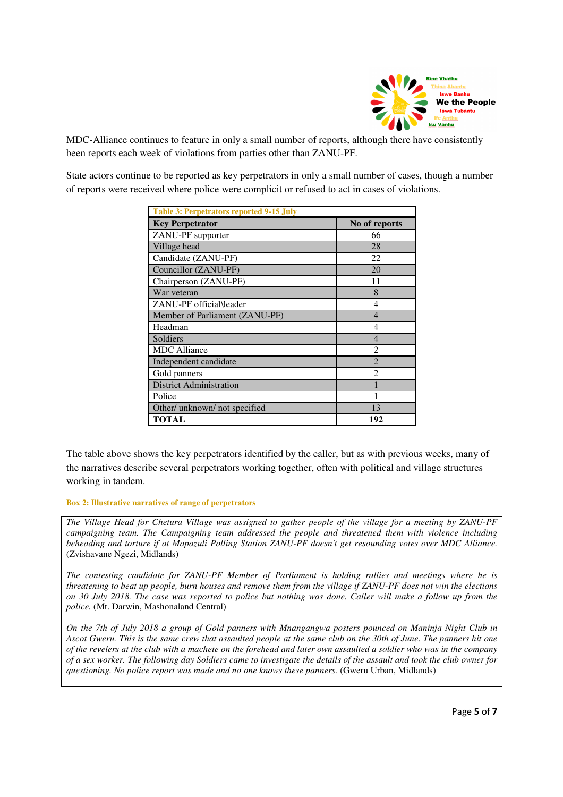

MDC-Alliance continues to feature in only a small number of reports, although there have consistently been reports each week of violations from parties other than ZANU-PF.

State actors continue to be reported as key perpetrators in only a small number of cases, though a number of reports were received where police were complicit or refused to act in cases of violations.

| <b>Table 3: Perpetrators reported 9-15 July</b> |                             |  |
|-------------------------------------------------|-----------------------------|--|
| <b>Key Perpetrator</b>                          | No of reports               |  |
| ZANU-PF supporter                               | 66                          |  |
| Village head                                    | 28                          |  |
| Candidate (ZANU-PF)                             | 22                          |  |
| Councillor (ZANU-PF)                            | 20                          |  |
| Chairperson (ZANU-PF)                           | 11                          |  |
| War veteran                                     | 8                           |  |
| ZANU-PF official\leader                         | 4                           |  |
| Member of Parliament (ZANU-PF)                  | 4                           |  |
| Headman                                         | 4                           |  |
| Soldiers                                        | $\overline{\mathcal{A}}$    |  |
| <b>MDC</b> Alliance                             | $\mathfrak{D}$              |  |
| Independent candidate                           | $\mathcal{D}_{\mathcal{L}}$ |  |
| Gold panners                                    | $\mathfrak{D}$              |  |
| <b>District Administration</b>                  |                             |  |
| Police                                          |                             |  |
| Other/ unknown/ not specified                   | 13                          |  |
| <b>TOTAL</b>                                    | 192                         |  |

The table above shows the key perpetrators identified by the caller, but as with previous weeks, many of the narratives describe several perpetrators working together, often with political and village structures working in tandem.

**Box 2: Illustrative narratives of range of perpetrators** 

*The Village Head for Chetura Village was assigned to gather people of the village for a meeting by ZANU-PF campaigning team. The Campaigning team addressed the people and threatened them with violence including beheading and torture if at Mapazuli Polling Station ZANU-PF doesn't get resounding votes over MDC Alliance.*  (Zvishavane Ngezi, Midlands)

*The contesting candidate for ZANU-PF Member of Parliament is holding rallies and meetings where he is threatening to beat up people, burn houses and remove them from the village if ZANU-PF does not win the elections on 30 July 2018. The case was reported to police but nothing was done. Caller will make a follow up from the police.* (Mt. Darwin, Mashonaland Central)

*On the 7th of July 2018 a group of Gold panners with Mnangangwa posters pounced on Maninja Night Club in Ascot Gweru. This is the same crew that assaulted people at the same club on the 30th of June. The panners hit one of the revelers at the club with a machete on the forehead and later own assaulted a soldier who was in the company of a sex worker. The following day Soldiers came to investigate the details of the assault and took the club owner for questioning. No police report was made and no one knows these panners.* (Gweru Urban, Midlands)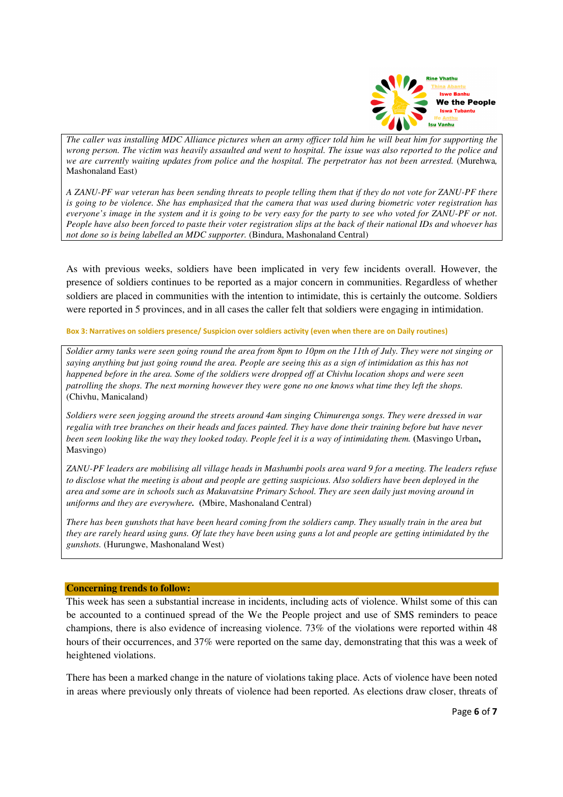

*The caller was installing MDC Alliance pictures when an army officer told him he will beat him for supporting the wrong person. The victim was heavily assaulted and went to hospital. The issue was also reported to the police and we are currently waiting updates from police and the hospital. The perpetrator has not been arrested.* (Murehwa*,*  Mashonaland East)

*A ZANU-PF war veteran has been sending threats to people telling them that if they do not vote for ZANU-PF there is going to be violence. She has emphasized that the camera that was used during biometric voter registration has everyone's image in the system and it is going to be very easy for the party to see who voted for ZANU-PF or not. People have also been forced to paste their voter registration slips at the back of their national IDs and whoever has not done so is being labelled an MDC supporter.* (Bindura, Mashonaland Central)

As with previous weeks, soldiers have been implicated in very few incidents overall. However, the presence of soldiers continues to be reported as a major concern in communities. Regardless of whether soldiers are placed in communities with the intention to intimidate, this is certainly the outcome. Soldiers were reported in 5 provinces, and in all cases the caller felt that soldiers were engaging in intimidation.

**Box 3: Narratives on soldiers presence/ Suspicion over soldiers activity (even when there are on Daily routines)** 

*Soldier army tanks were seen going round the area from 8pm to 10pm on the 11th of July. They were not singing or saying anything but just going round the area. People are seeing this as a sign of intimidation as this has not happened before in the area. Some of the soldiers were dropped off at Chivhu location shops and were seen patrolling the shops. The next morning however they were gone no one knows what time they left the shops.*  (Chivhu, Manicaland)

*Soldiers were seen jogging around the streets around 4am singing Chimurenga songs. They were dressed in war regalia with tree branches on their heads and faces painted. They have done their training before but have never been seen looking like the way they looked today. People feel it is a way of intimidating them.* **(**Masvingo Urban**,** Masvingo)

*ZANU-PF leaders are mobilising all village heads in Mashumbi pools area ward 9 for a meeting. The leaders refuse to disclose what the meeting is about and people are getting suspicious. Also soldiers have been deployed in the area and some are in schools such as Makuvatsine Primary School. They are seen daily just moving around in uniforms and they are everywhere.* **(**Mbire, Mashonaland Central)

*There has been gunshots that have been heard coming from the soldiers camp. They usually train in the area but they are rarely heard using guns. Of late they have been using guns a lot and people are getting intimidated by the gunshots.* (Hurungwe, Mashonaland West)

#### **Concerning trends to follow:**

This week has seen a substantial increase in incidents, including acts of violence. Whilst some of this can be accounted to a continued spread of the We the People project and use of SMS reminders to peace champions, there is also evidence of increasing violence. 73% of the violations were reported within 48 hours of their occurrences, and 37% were reported on the same day, demonstrating that this was a week of heightened violations.

There has been a marked change in the nature of violations taking place. Acts of violence have been noted in areas where previously only threats of violence had been reported. As elections draw closer, threats of